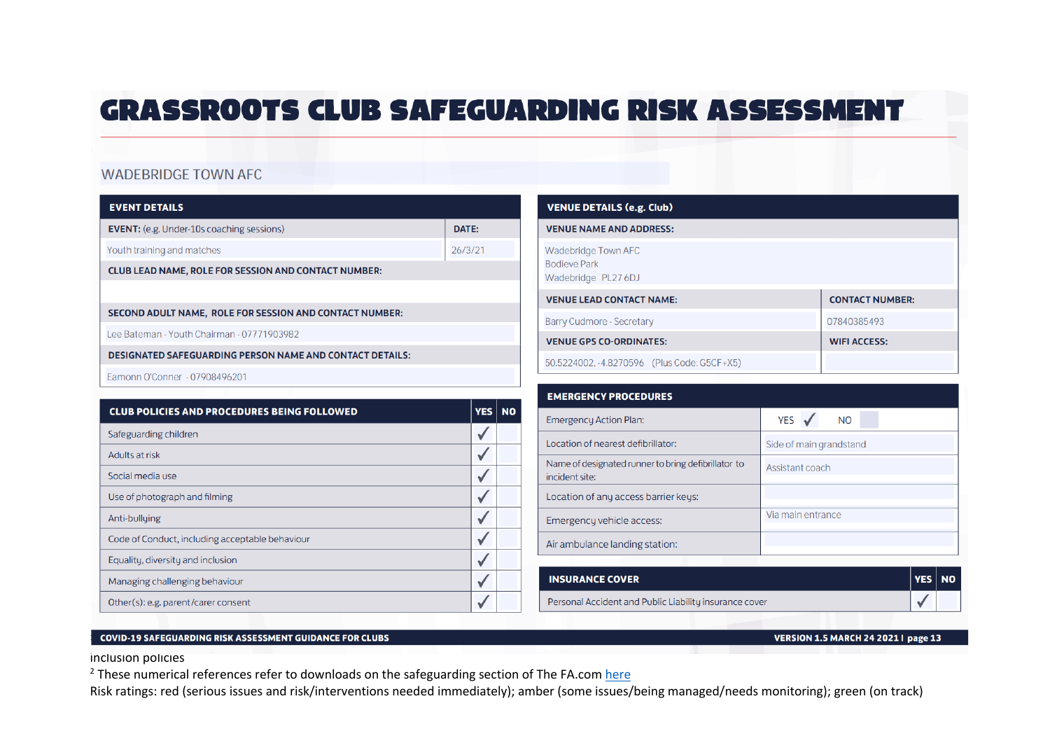## **GRASSROOTS CLUB SAFEGUARDING RISK ASSESSMENT**

## **WADEBRIDGE TOWN AFC**

|  | FVENT DETAILS |  |
|--|---------------|--|

| -------------                                                   |         |
|-----------------------------------------------------------------|---------|
| <b>EVENT:</b> (e.g. Under-10s coaching sessions)                | DATE:   |
| Youth training and matches                                      | 26/3/21 |
| <b>CLUB LEAD NAME, ROLE FOR SESSION AND CONTACT NUMBER:</b>     |         |
|                                                                 |         |
| SECOND ADULT NAME, ROLE FOR SESSION AND CONTACT NUMBER:         |         |
| Lee Bateman - Youth Chairman - 07771903982                      |         |
| <b>DESIGNATED SAFEGUARDING PERSON NAME AND CONTACT DETAILS:</b> |         |
| Eamonn O'Conner - 07908496201                                   |         |

| <b>CLUB POLICIES AND PROCEDURES BEING FOLLOWED</b> | YES | <b>NO</b> |
|----------------------------------------------------|-----|-----------|
| Safeguarding children                              |     |           |
| Adults at risk                                     |     |           |
| Social media use                                   |     |           |
| Use of photograph and filming                      |     |           |
| Anti-bullying                                      |     |           |
| Code of Conduct, including acceptable behaviour    |     |           |
| Equality, diversity and inclusion                  |     |           |
| Managing challenging behaviour                     |     |           |
| Other(s): e.g. parent/carer consent                |     |           |

| <b>VENUE DETAILS (e.g. Club)</b>                                  |                        |  |  |  |  |
|-------------------------------------------------------------------|------------------------|--|--|--|--|
| <b>VENUE NAME AND ADDRESS:</b>                                    |                        |  |  |  |  |
| Wadebridge Town AFC<br><b>Bodieve Park</b><br>Wadebridge PL27 6DJ |                        |  |  |  |  |
| <b>VENUE LEAD CONTACT NAME:</b>                                   | <b>CONTACT NUMBER:</b> |  |  |  |  |
| <b>Barry Cudmore - Secretary</b>                                  | 07840385493            |  |  |  |  |
| <b>VENUE GPS CO-ORDINATES:</b>                                    | <b>WIFI ACCESS:</b>    |  |  |  |  |
| 50.5224002, -4.8270596 (Plus Code: G5CF+X5)                       |                        |  |  |  |  |

| <b>EMERGENCY PROCEDURES</b>                                           |                         |
|-----------------------------------------------------------------------|-------------------------|
| <b>Emergency Action Plan:</b>                                         | YES ✔<br>N <sub>O</sub> |
| Location of nearest defibrillator:                                    | Side of main grandstand |
| Name of designated runner to bring defibrillator to<br>incident site: | Assistant coach         |
| Location of any access barrier keys:                                  |                         |
| Emergency vehicle access:                                             | Via main entrance       |
| Air ambulance landing station:                                        |                         |

| <b>INSURANCE COVER</b>                                 | <b>YES NO</b> |  |
|--------------------------------------------------------|---------------|--|
| Personal Accident and Public Liability insurance cover |               |  |

## 2 | Disability is a protected characteristic, under the Equality is a protected characteristic, under the Equality Act, 2010. Clubs showld champion inclusive for the Equality inclusive for the Equality in line with the Equ

inclusion policies

 $^{2}$  These numerical references refer to downloads on the safeguarding section of The FA.com here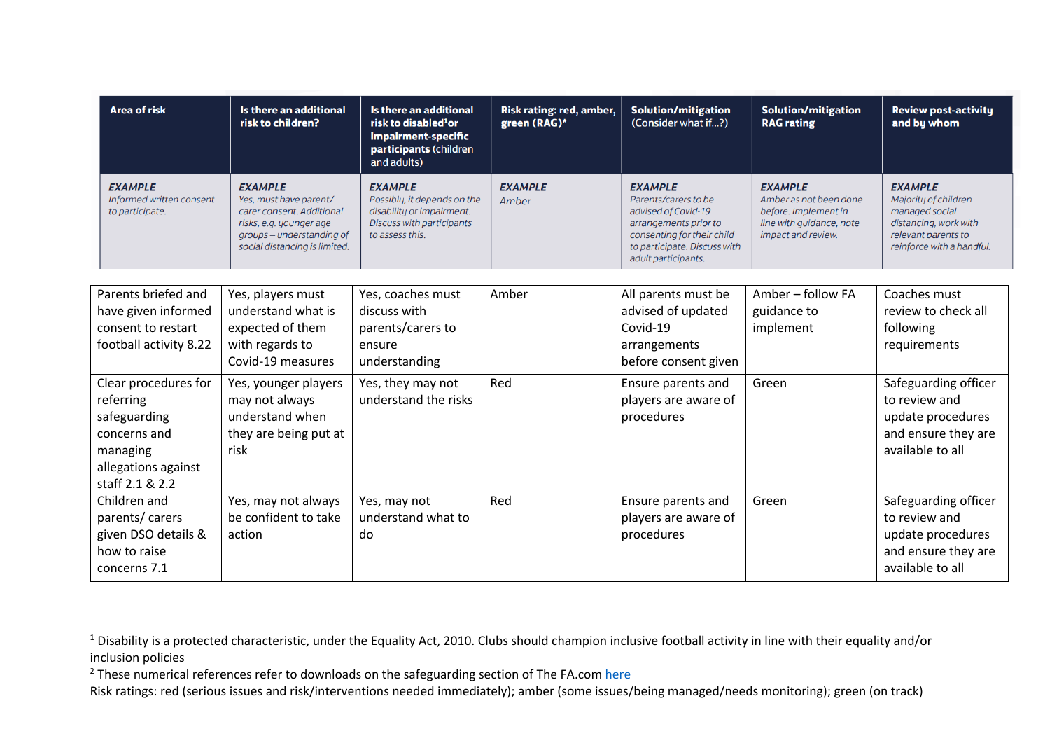| <b>Area of risk</b>                                                                                                     | Is there an additional<br>risk to children?                                                                                                                    | Is there an additional<br>risk to disabled <sup>1</sup> or<br>impairment-specific<br>participants (children<br>and adults) | Risk rating: red, amber,<br>green (RAG)* | <b>Solution/mitigation</b><br>(Consider what if?)                                                                                                                           | <b>Solution/mitigation</b><br><b>RAG</b> rating                                                                    | <b>Review post-activity</b><br>and by whom                                                                                            |
|-------------------------------------------------------------------------------------------------------------------------|----------------------------------------------------------------------------------------------------------------------------------------------------------------|----------------------------------------------------------------------------------------------------------------------------|------------------------------------------|-----------------------------------------------------------------------------------------------------------------------------------------------------------------------------|--------------------------------------------------------------------------------------------------------------------|---------------------------------------------------------------------------------------------------------------------------------------|
| <b>EXAMPLE</b><br>Informed written consent<br>to participate.                                                           | <b>EXAMPLE</b><br>Yes, must have parent/<br>carer consent. Additional<br>risks, e.g. younger age<br>groups – understanding of<br>social distancing is limited. | <b>EXAMPLE</b><br>Possibly, it depends on the<br>disability or impairment.<br>Discuss with participants<br>to assess this. | <b>EXAMPLE</b><br>Amber                  | <b>EXAMPLE</b><br>Parents/carers to be<br>advised of Covid-19<br>arrangements prior to<br>consenting for their child<br>to participate. Discuss with<br>adult participants. | <b>EXAMPLE</b><br>Amber as not been done<br>before. Implement in<br>line with quidance, note<br>impact and review. | <b>EXAMPLE</b><br>Majority of children<br>managed social<br>distancing, work with<br>relevant parents to<br>reinforce with a handful. |
| Parents briefed and<br>have given informed<br>consent to restart<br>football activity 8.22                              | Yes, players must<br>understand what is<br>expected of them<br>with regards to<br>Covid-19 measures                                                            | Yes, coaches must<br>discuss with<br>parents/carers to<br>ensure<br>understanding                                          | Amber                                    | All parents must be<br>advised of updated<br>Covid-19<br>arrangements<br>before consent given                                                                               | Amber - follow FA<br>guidance to<br>implement                                                                      | Coaches must<br>review to check all<br>following<br>requirements                                                                      |
| Clear procedures for<br>referring<br>safeguarding<br>concerns and<br>managing<br>allegations against<br>staff 2.1 & 2.2 | Yes, younger players<br>may not always<br>understand when<br>they are being put at<br>risk                                                                     | Yes, they may not<br>understand the risks                                                                                  | Red                                      | Ensure parents and<br>players are aware of<br>procedures                                                                                                                    | Green                                                                                                              | Safeguarding officer<br>to review and<br>update procedures<br>and ensure they are<br>available to all                                 |
| Children and<br>parents/carers<br>given DSO details &<br>how to raise<br>concerns 7.1                                   | Yes, may not always<br>be confident to take<br>action                                                                                                          | Yes, may not<br>understand what to<br>do                                                                                   | Red                                      | Ensure parents and<br>players are aware of<br>procedures                                                                                                                    | Green                                                                                                              | Safeguarding officer<br>to review and<br>update procedures<br>and ensure they are<br>available to all                                 |

 $2$  These numerical references refer to downloads on the safeguarding section of The FA.com here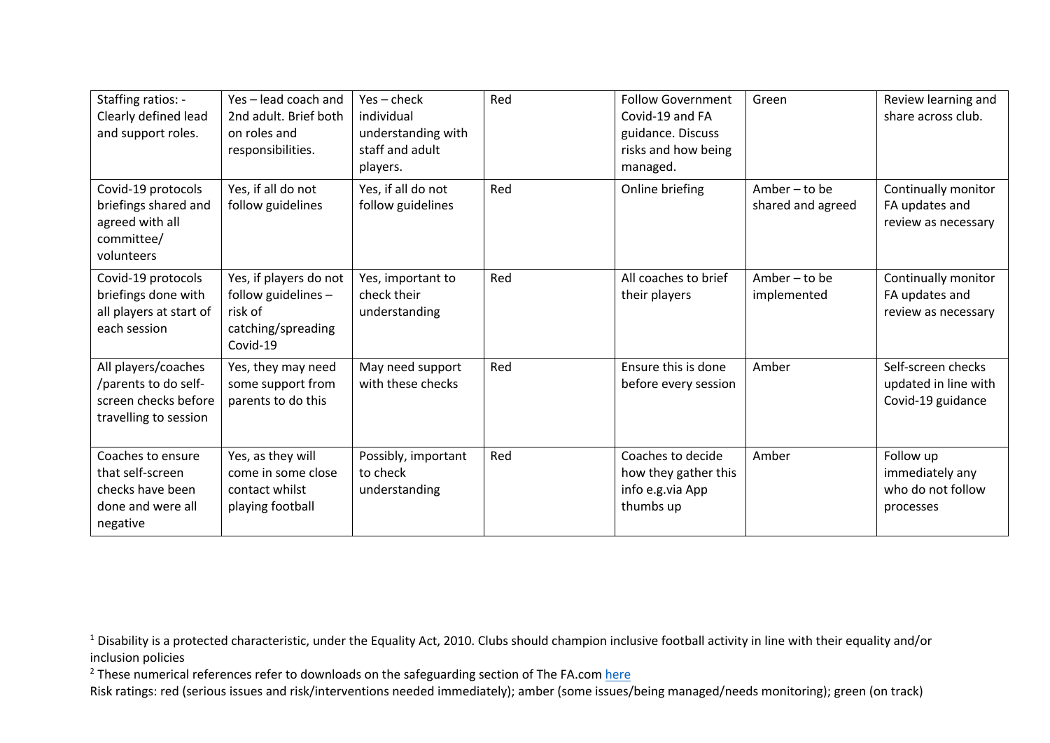| Staffing ratios: -<br>Clearly defined lead<br>and support roles.                             | Yes-lead coach and<br>2nd adult. Brief both<br>on roles and<br>responsibilities.           | $Yes - check$<br>individual<br>understanding with<br>staff and adult<br>players. | Red | <b>Follow Government</b><br>Covid-19 and FA<br>guidance. Discuss<br>risks and how being<br>managed. | Green                                | Review learning and<br>share across club.                       |
|----------------------------------------------------------------------------------------------|--------------------------------------------------------------------------------------------|----------------------------------------------------------------------------------|-----|-----------------------------------------------------------------------------------------------------|--------------------------------------|-----------------------------------------------------------------|
| Covid-19 protocols<br>briefings shared and<br>agreed with all<br>committee/<br>volunteers    | Yes, if all do not<br>follow guidelines                                                    | Yes, if all do not<br>follow guidelines                                          | Red | Online briefing                                                                                     | Amber $-$ to be<br>shared and agreed | Continually monitor<br>FA updates and<br>review as necessary    |
| Covid-19 protocols<br>briefings done with<br>all players at start of<br>each session         | Yes, if players do not<br>follow guidelines -<br>risk of<br>catching/spreading<br>Covid-19 | Yes, important to<br>check their<br>understanding                                | Red | All coaches to brief<br>their players                                                               | Amber $-$ to be<br>implemented       | Continually monitor<br>FA updates and<br>review as necessary    |
| All players/coaches<br>/parents to do self-<br>screen checks before<br>travelling to session | Yes, they may need<br>some support from<br>parents to do this                              | May need support<br>with these checks                                            | Red | Ensure this is done<br>before every session                                                         | Amber                                | Self-screen checks<br>updated in line with<br>Covid-19 guidance |
| Coaches to ensure<br>that self-screen<br>checks have been<br>done and were all<br>negative   | Yes, as they will<br>come in some close<br>contact whilst<br>playing football              | Possibly, important<br>to check<br>understanding                                 | Red | Coaches to decide<br>how they gather this<br>info e.g.via App<br>thumbs up                          | Amber                                | Follow up<br>immediately any<br>who do not follow<br>processes  |

 $2$  These numerical references refer to downloads on the safeguarding section of The FA.com here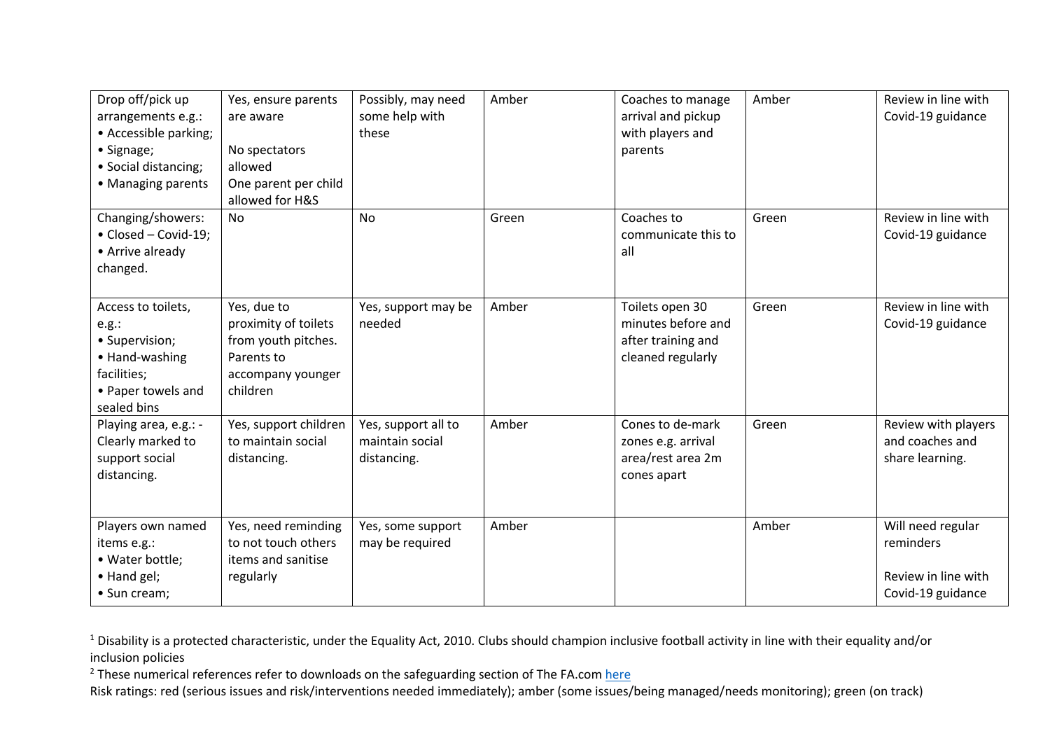| Drop off/pick up<br>arrangements e.g.:<br>• Accessible parking;<br>• Signage;<br>• Social distancing;<br>• Managing parents | Yes, ensure parents<br>are aware<br>No spectators<br>allowed<br>One parent per child<br>allowed for H&S   | Possibly, may need<br>some help with<br>these         | Amber | Coaches to manage<br>arrival and pickup<br>with players and<br>parents           | Amber | Review in line with<br>Covid-19 guidance                                   |
|-----------------------------------------------------------------------------------------------------------------------------|-----------------------------------------------------------------------------------------------------------|-------------------------------------------------------|-------|----------------------------------------------------------------------------------|-------|----------------------------------------------------------------------------|
| Changing/showers:<br>• Closed - Covid-19;<br>• Arrive already<br>changed.                                                   | No                                                                                                        | No                                                    | Green | Coaches to<br>communicate this to<br>all                                         | Green | Review in line with<br>Covid-19 guidance                                   |
| Access to toilets,<br>e.g.:<br>· Supervision;<br>• Hand-washing<br>facilities;<br>• Paper towels and<br>sealed bins         | Yes, due to<br>proximity of toilets<br>from youth pitches.<br>Parents to<br>accompany younger<br>children | Yes, support may be<br>needed                         | Amber | Toilets open 30<br>minutes before and<br>after training and<br>cleaned regularly | Green | Review in line with<br>Covid-19 guidance                                   |
| Playing area, e.g.: -<br>Clearly marked to<br>support social<br>distancing.                                                 | Yes, support children<br>to maintain social<br>distancing.                                                | Yes, support all to<br>maintain social<br>distancing. | Amber | Cones to de-mark<br>zones e.g. arrival<br>area/rest area 2m<br>cones apart       | Green | Review with players<br>and coaches and<br>share learning.                  |
| Players own named<br>items e.g.:<br>• Water bottle;<br>• Hand gel;<br>• Sun cream;                                          | Yes, need reminding<br>to not touch others<br>items and sanitise<br>regularly                             | Yes, some support<br>may be required                  | Amber |                                                                                  | Amber | Will need regular<br>reminders<br>Review in line with<br>Covid-19 guidance |

 $2$  These numerical references refer to downloads on the safeguarding section of The FA.com here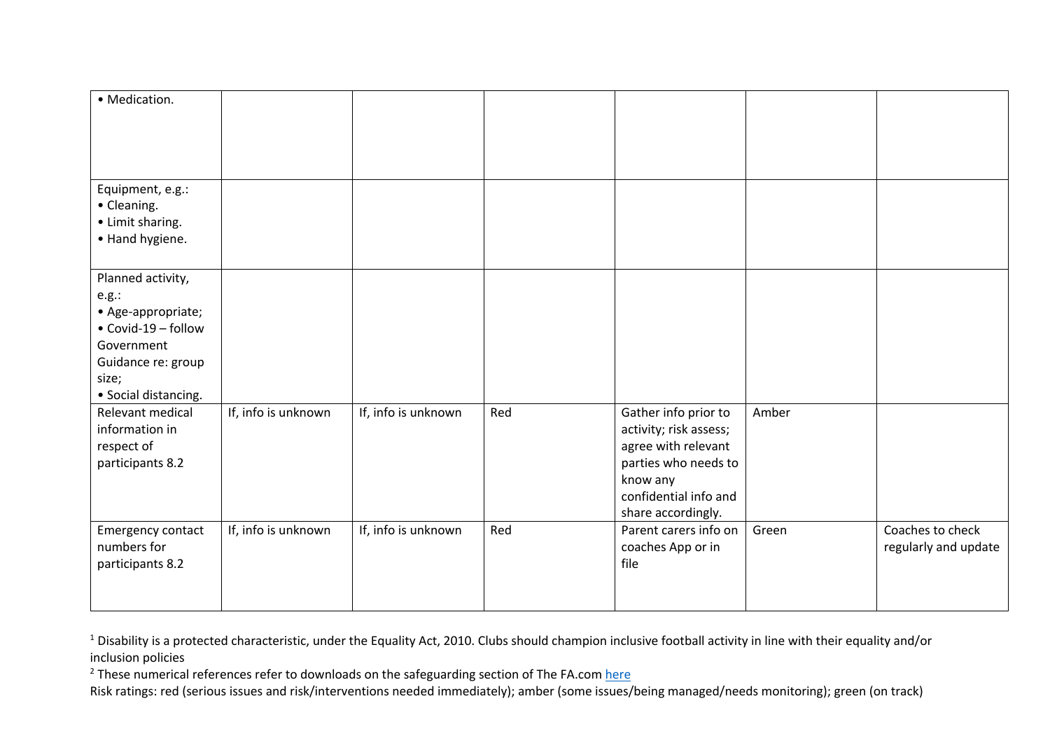| · Medication.                                                                                                                                |                     |                     |     |                                                                                                                                                          |       |                                          |
|----------------------------------------------------------------------------------------------------------------------------------------------|---------------------|---------------------|-----|----------------------------------------------------------------------------------------------------------------------------------------------------------|-------|------------------------------------------|
| Equipment, e.g.:<br>• Cleaning.<br>• Limit sharing.<br>• Hand hygiene.                                                                       |                     |                     |     |                                                                                                                                                          |       |                                          |
| Planned activity,<br>e.g.:<br>• Age-appropriate;<br>• Covid-19 - follow<br>Government<br>Guidance re: group<br>size;<br>• Social distancing. |                     |                     |     |                                                                                                                                                          |       |                                          |
| Relevant medical<br>information in<br>respect of<br>participants 8.2                                                                         | If, info is unknown | If, info is unknown | Red | Gather info prior to<br>activity; risk assess;<br>agree with relevant<br>parties who needs to<br>know any<br>confidential info and<br>share accordingly. | Amber |                                          |
| Emergency contact<br>numbers for<br>participants 8.2                                                                                         | If, info is unknown | If, info is unknown | Red | Parent carers info on<br>coaches App or in<br>file                                                                                                       | Green | Coaches to check<br>regularly and update |

 $2$  These numerical references refer to downloads on the safeguarding section of The FA.com here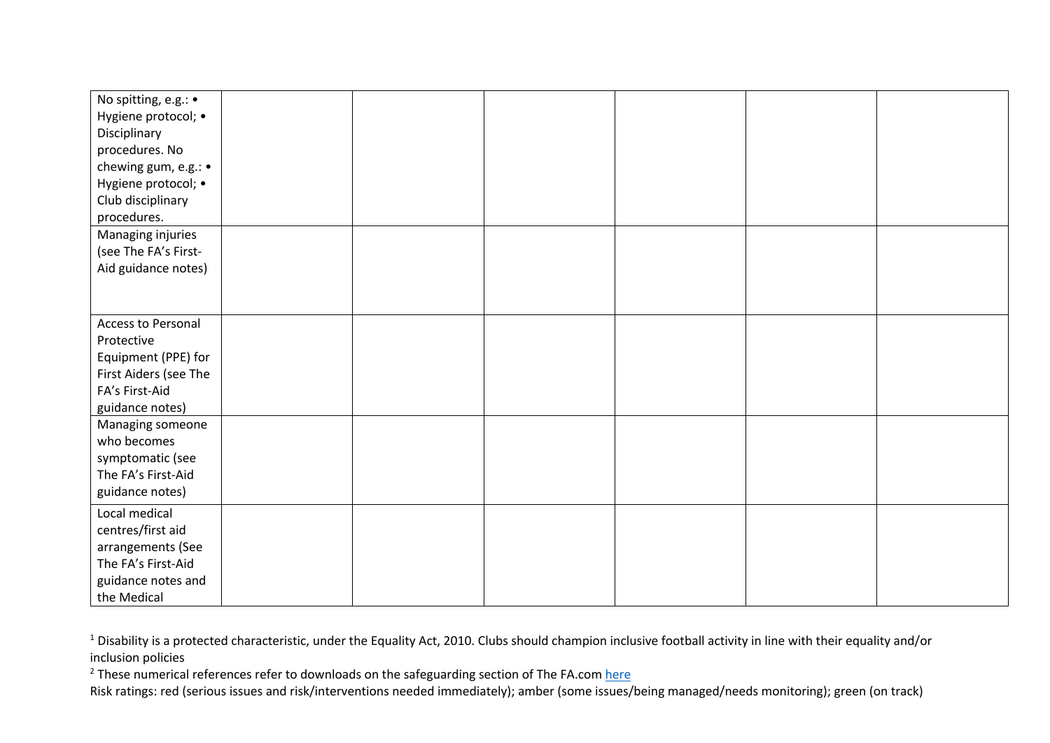| No spitting, e.g.: •<br>Hygiene protocol; •<br>Disciplinary<br>procedures. No<br>chewing gum, e.g.: •<br>Hygiene protocol; •<br>Club disciplinary |  |  |  |
|---------------------------------------------------------------------------------------------------------------------------------------------------|--|--|--|
| procedures.<br>Managing injuries<br>(see The FA's First-<br>Aid guidance notes)                                                                   |  |  |  |
| Access to Personal<br>Protective<br>Equipment (PPE) for<br>First Aiders (see The<br>FA's First-Aid<br>guidance notes)                             |  |  |  |
| Managing someone<br>who becomes<br>symptomatic (see<br>The FA's First-Aid<br>guidance notes)                                                      |  |  |  |
| Local medical<br>centres/first aid<br>arrangements (See<br>The FA's First-Aid<br>guidance notes and<br>the Medical                                |  |  |  |

 $2$  These numerical references refer to downloads on the safeguarding section of The FA.com here